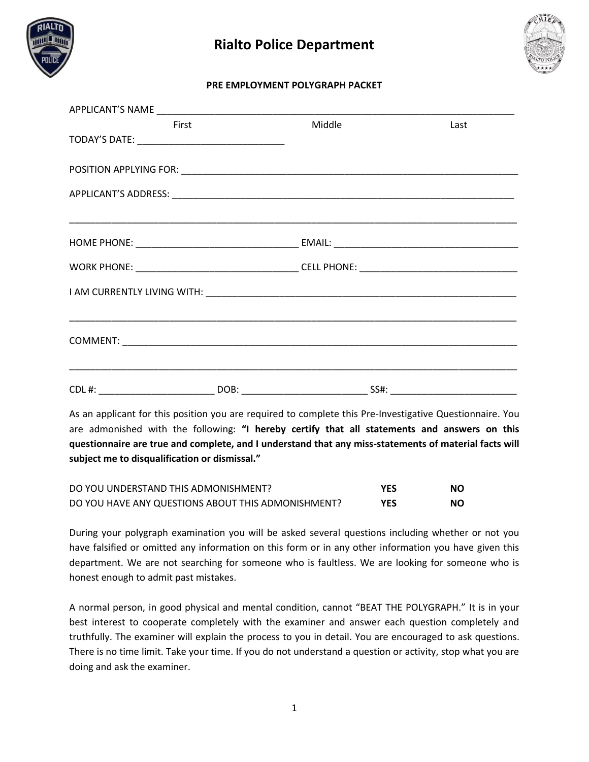



#### **PRE EMPLOYMENT POLYGRAPH PACKET**

| First                                                                             | Middle | <u>Last</u> |  |
|-----------------------------------------------------------------------------------|--------|-------------|--|
|                                                                                   |        |             |  |
|                                                                                   |        |             |  |
|                                                                                   |        |             |  |
|                                                                                   |        |             |  |
|                                                                                   |        |             |  |
|                                                                                   |        |             |  |
|                                                                                   |        |             |  |
|                                                                                   |        |             |  |
|                                                                                   |        |             |  |
|                                                                                   |        |             |  |
|                                                                                   |        |             |  |
| ,我们也不能会有什么。""我们的人,我们也不能会有什么?""我们的人,我们也不能会有什么?""我们的人,我们也不能会有什么?""我们的人,我们也不能会有什么?"" |        |             |  |
|                                                                                   |        |             |  |
|                                                                                   |        |             |  |
|                                                                                   |        |             |  |
|                                                                                   |        |             |  |
|                                                                                   |        |             |  |

As an applicant for this position you are required to complete this Pre-Investigative Questionnaire. You are admonished with the following: **"I hereby certify that all statements and answers on this questionnaire are true and complete, and I understand that any miss-statements of material facts will subject me to disqualification or dismissal."**

| DO YOU UNDERSTAND THIS ADMONISHMENT?               | <b>YES</b> | NO. |
|----------------------------------------------------|------------|-----|
| DO YOU HAVE ANY QUESTIONS ABOUT THIS ADMONISHMENT? | <b>YES</b> | NO. |

During your polygraph examination you will be asked several questions including whether or not you have falsified or omitted any information on this form or in any other information you have given this department. We are not searching for someone who is faultless. We are looking for someone who is honest enough to admit past mistakes.

A normal person, in good physical and mental condition, cannot "BEAT THE POLYGRAPH." It is in your best interest to cooperate completely with the examiner and answer each question completely and truthfully. The examiner will explain the process to you in detail. You are encouraged to ask questions. There is no time limit. Take your time. If you do not understand a question or activity, stop what you are doing and ask the examiner.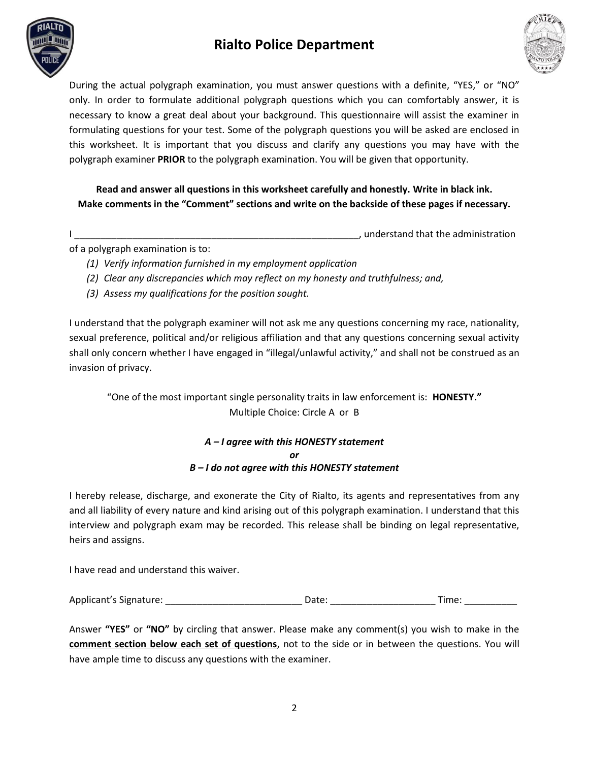



During the actual polygraph examination, you must answer questions with a definite, "YES," or "NO" only. In order to formulate additional polygraph questions which you can comfortably answer, it is necessary to know a great deal about your background. This questionnaire will assist the examiner in formulating questions for your test. Some of the polygraph questions you will be asked are enclosed in this worksheet. It is important that you discuss and clarify any questions you may have with the polygraph examiner **PRIOR** to the polygraph examination. You will be given that opportunity.

**Read and answer all questions in this worksheet carefully and honestly. Write in black ink. Make comments in the "Comment" sections and write on the backside of these pages if necessary.**

I are the set of the set of the set of the set of the set of the set of the administration  $\mathbf{I}$ , understand that the administration

of a polygraph examination is to:

- *(1) Verify information furnished in my employment application*
- *(2) Clear any discrepancies which may reflect on my honesty and truthfulness; and,*
- *(3) Assess my qualifications for the position sought.*

I understand that the polygraph examiner will not ask me any questions concerning my race, nationality, sexual preference, political and/or religious affiliation and that any questions concerning sexual activity shall only concern whether I have engaged in "illegal/unlawful activity," and shall not be construed as an invasion of privacy.

"One of the most important single personality traits in law enforcement is: **HONESTY."** Multiple Choice: Circle A or B

> *A – I agree with this HONESTY statement or B – I do not agree with this HONESTY statement*

I hereby release, discharge, and exonerate the City of Rialto, its agents and representatives from any and all liability of every nature and kind arising out of this polygraph examination. I understand that this interview and polygraph exam may be recorded. This release shall be binding on legal representative, heirs and assigns.

I have read and understand this waiver.

Applicant's Signature: \_\_\_\_\_\_\_\_\_\_\_\_\_\_\_\_\_\_\_\_\_\_\_\_\_\_ Date: \_\_\_\_\_\_\_\_\_\_\_\_\_\_\_\_\_\_\_\_ Time: \_\_\_\_\_\_\_\_\_\_

Answer **"YES"** or **"NO"** by circling that answer. Please make any comment(s) you wish to make in the **comment section below each set of questions**, not to the side or in between the questions. You will have ample time to discuss any questions with the examiner.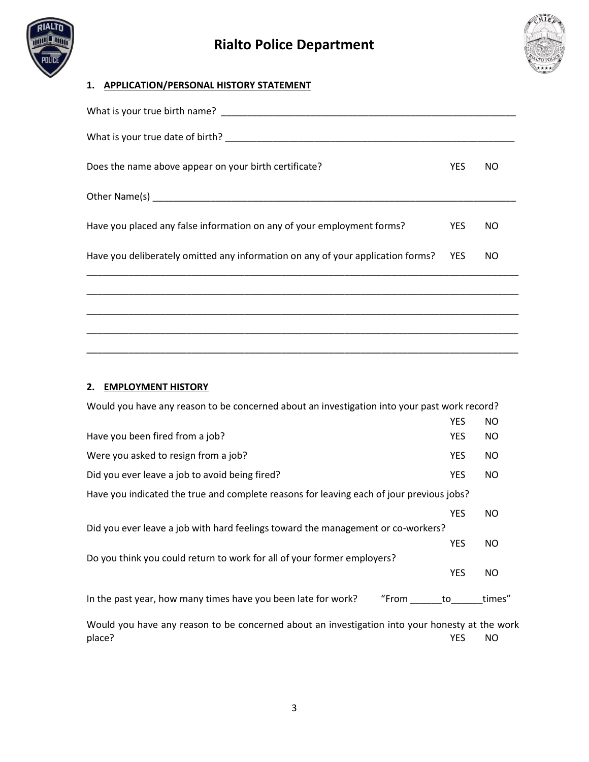



## **1. APPLICATION/PERSONAL HISTORY STATEMENT**

| Does the name above appear on your birth certificate?                           | <b>YES</b> | NO. |
|---------------------------------------------------------------------------------|------------|-----|
|                                                                                 |            |     |
| Have you placed any false information on any of your employment forms?          | YES.       | NO  |
| Have you deliberately omitted any information on any of your application forms? | <b>YES</b> | NO. |
|                                                                                 |            |     |
|                                                                                 |            |     |
|                                                                                 |            |     |
|                                                                                 |            |     |

#### **2. EMPLOYMENT HISTORY**

| Would you have any reason to be concerned about an investigation into your past work record? |            |        |
|----------------------------------------------------------------------------------------------|------------|--------|
|                                                                                              | <b>YES</b> | NO.    |
| Have you been fired from a job?                                                              | <b>YES</b> | NO.    |
| Were you asked to resign from a job?                                                         | <b>YES</b> | NO.    |
| Did you ever leave a job to avoid being fired?                                               | <b>YES</b> | NO.    |
| Have you indicated the true and complete reasons for leaving each of jour previous jobs?     |            |        |
|                                                                                              | <b>YES</b> | NO.    |
| Did you ever leave a job with hard feelings toward the management or co-workers?             |            |        |
|                                                                                              | <b>YES</b> | NO.    |
| Do you think you could return to work for all of your former employers?                      |            |        |
|                                                                                              | <b>YES</b> | NO.    |
| In the past year, how many times have you been late for work?<br>"From                       | to         | times" |
|                                                                                              |            |        |

Would you have any reason to be concerned about an investigation into your honesty at the work<br>
yES NO place? The contract of the contract of the contract of the contract of the contract of the contract of the contract of the contract of the contract of the contract of the contract of the contract of the contract of the con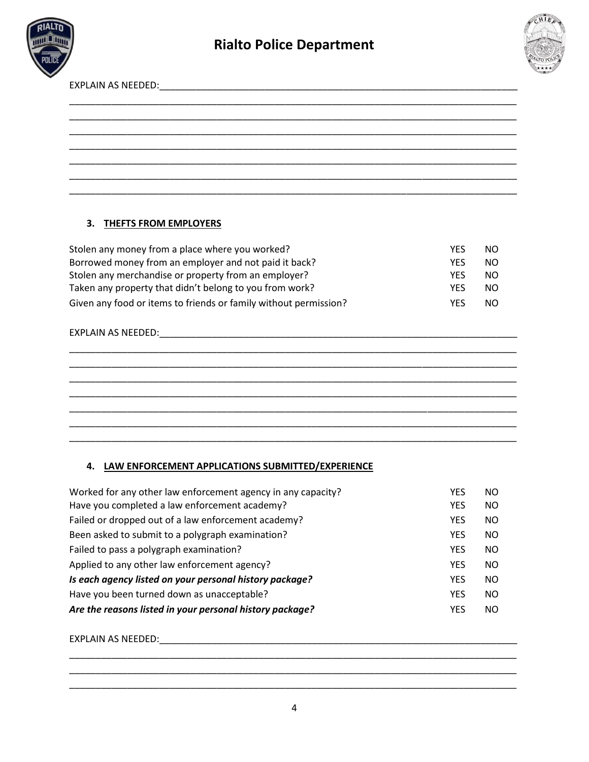



EXPLAIN AS NEEDED:\_\_\_\_\_\_\_\_\_\_\_\_\_\_\_\_\_\_\_\_\_\_\_\_\_\_\_\_\_\_\_\_\_\_\_\_\_\_\_\_\_\_\_\_\_\_\_\_\_\_\_\_\_\_\_\_\_\_\_\_\_\_\_\_\_\_\_\_

## **3. THEFTS FROM EMPLOYERS**

| Stolen any money from a place where you worked?                  | <b>YFS</b> | <sub>NO</sub> |
|------------------------------------------------------------------|------------|---------------|
| Borrowed money from an employer and not paid it back?            | <b>YFS</b> | NO.           |
| Stolen any merchandise or property from an employer?             | <b>YFS</b> | NO.           |
| Taken any property that didn't belong to you from work?          | <b>YFS</b> | NO.           |
| Given any food or items to friends or family without permission? | <b>YFS</b> | NO.           |

## EXPLAIN AS NEEDED:\_\_\_\_\_\_\_\_\_\_\_\_\_\_\_\_\_\_\_\_\_\_\_\_\_\_\_\_\_\_\_\_\_\_\_\_\_\_\_\_\_\_\_\_\_\_\_\_\_\_\_\_\_\_\_\_\_\_\_\_\_\_\_\_\_\_\_\_

## **4. LAW ENFORCEMENT APPLICATIONS SUBMITTED/EXPERIENCE**

| Worked for any other law enforcement agency in any capacity? | YES        | <b>NO</b> |
|--------------------------------------------------------------|------------|-----------|
| Have you completed a law enforcement academy?                | <b>YES</b> | <b>NO</b> |
| Failed or dropped out of a law enforcement academy?          | <b>YES</b> | <b>NO</b> |
| Been asked to submit to a polygraph examination?             | <b>YES</b> | <b>NO</b> |
| Failed to pass a polygraph examination?                      | <b>YES</b> | <b>NO</b> |
| Applied to any other law enforcement agency?                 | <b>YFS</b> | <b>NO</b> |
| Is each agency listed on your personal history package?      | <b>YES</b> | <b>NO</b> |
| Have you been turned down as unacceptable?                   | <b>YFS</b> | <b>NO</b> |
| Are the reasons listed in your personal history package?     | <b>YFS</b> | <b>NO</b> |

#### EXPLAIN AS NEEDED: with the state of the state of the state of the state of the state of the state of the state of the state of the state of the state of the state of the state of the state of the state of the state of the

\_\_\_\_\_\_\_\_\_\_\_\_\_\_\_\_\_\_\_\_\_\_\_\_\_\_\_\_\_\_\_\_\_\_\_\_\_\_\_\_\_\_\_\_\_\_\_\_\_\_\_\_\_\_\_\_\_\_\_\_\_\_\_\_\_\_\_\_\_\_\_\_\_\_\_\_\_\_\_\_\_\_\_\_\_ \_\_\_\_\_\_\_\_\_\_\_\_\_\_\_\_\_\_\_\_\_\_\_\_\_\_\_\_\_\_\_\_\_\_\_\_\_\_\_\_\_\_\_\_\_\_\_\_\_\_\_\_\_\_\_\_\_\_\_\_\_\_\_\_\_\_\_\_\_\_\_\_\_\_\_\_\_\_\_\_\_\_\_\_\_ \_\_\_\_\_\_\_\_\_\_\_\_\_\_\_\_\_\_\_\_\_\_\_\_\_\_\_\_\_\_\_\_\_\_\_\_\_\_\_\_\_\_\_\_\_\_\_\_\_\_\_\_\_\_\_\_\_\_\_\_\_\_\_\_\_\_\_\_\_\_\_\_\_\_\_\_\_\_\_\_\_\_\_\_\_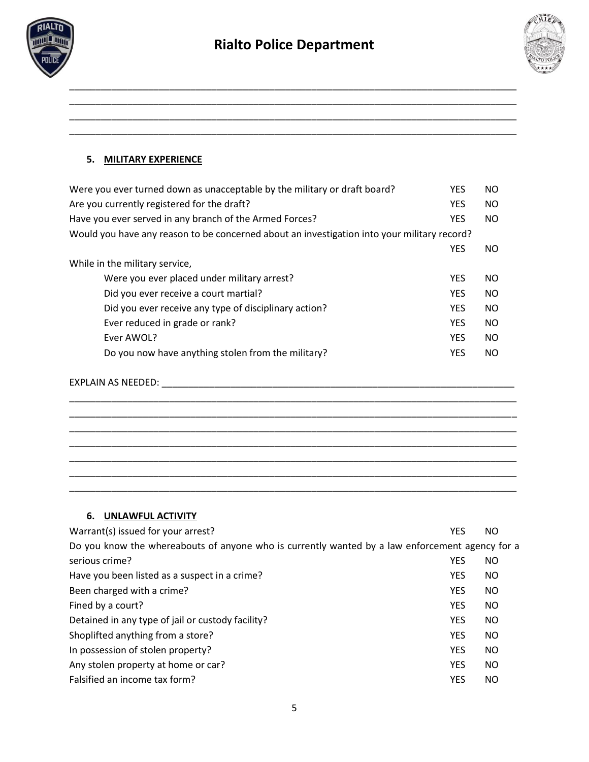

\_\_\_\_\_\_\_\_\_\_\_\_\_\_\_\_\_\_\_\_\_\_\_\_\_\_\_\_\_\_\_\_\_\_\_\_\_\_\_\_\_\_\_\_\_\_\_\_\_\_\_\_\_\_\_\_\_\_\_\_\_\_\_\_\_\_\_\_\_\_\_\_\_\_\_\_\_\_\_\_\_\_\_\_\_ \_\_\_\_\_\_\_\_\_\_\_\_\_\_\_\_\_\_\_\_\_\_\_\_\_\_\_\_\_\_\_\_\_\_\_\_\_\_\_\_\_\_\_\_\_\_\_\_\_\_\_\_\_\_\_\_\_\_\_\_\_\_\_\_\_\_\_\_\_\_\_\_\_\_\_\_\_\_\_\_\_\_\_\_\_ \_\_\_\_\_\_\_\_\_\_\_\_\_\_\_\_\_\_\_\_\_\_\_\_\_\_\_\_\_\_\_\_\_\_\_\_\_\_\_\_\_\_\_\_\_\_\_\_\_\_\_\_\_\_\_\_\_\_\_\_\_\_\_\_\_\_\_\_\_\_\_\_\_\_\_\_\_\_\_\_\_\_\_\_\_ \_\_\_\_\_\_\_\_\_\_\_\_\_\_\_\_\_\_\_\_\_\_\_\_\_\_\_\_\_\_\_\_\_\_\_\_\_\_\_\_\_\_\_\_\_\_\_\_\_\_\_\_\_\_\_\_\_\_\_\_\_\_\_\_\_\_\_\_\_\_\_\_\_\_\_\_\_\_\_\_\_\_\_\_\_



### **5. MILITARY EXPERIENCE**

| Were you ever turned down as unacceptable by the military or draft board?                   | <b>YES</b> | NO            |
|---------------------------------------------------------------------------------------------|------------|---------------|
| Are you currently registered for the draft?                                                 | <b>YES</b> | NO.           |
| Have you ever served in any branch of the Armed Forces?                                     | <b>YES</b> | NO.           |
| Would you have any reason to be concerned about an investigation into your military record? |            |               |
|                                                                                             | <b>YES</b> | NO.           |
| While in the military service,                                                              |            |               |
| Were you ever placed under military arrest?                                                 | <b>YES</b> | NO            |
| Did you ever receive a court martial?                                                       | <b>YES</b> | <sub>NO</sub> |
| Did you ever receive any type of disciplinary action?                                       | <b>YES</b> | NO            |
| Ever reduced in grade or rank?                                                              | <b>YES</b> | <b>NO</b>     |
| Ever AWOL?                                                                                  | <b>YES</b> | <b>NO</b>     |
| Do you now have anything stolen from the military?                                          | <b>YES</b> | <b>NO</b>     |
|                                                                                             |            |               |

\_\_\_\_\_\_\_\_\_\_\_\_\_\_\_\_\_\_\_\_\_\_\_\_\_\_\_\_\_\_\_\_\_\_\_\_\_\_\_\_\_\_\_\_\_\_\_\_\_\_\_\_\_\_\_\_\_\_\_\_\_\_\_\_\_\_\_\_\_\_\_\_\_\_\_\_\_\_\_\_\_\_\_\_\_ \_\_\_\_\_\_\_\_\_\_\_\_\_\_\_\_\_\_\_\_\_\_\_\_\_\_\_\_\_\_\_\_\_\_\_\_\_\_\_\_\_\_\_\_\_\_\_\_\_\_\_\_\_\_\_\_\_\_\_\_\_\_\_\_\_\_\_\_\_\_\_\_\_\_\_\_\_\_\_\_\_\_\_\_\_ \_\_\_\_\_\_\_\_\_\_\_\_\_\_\_\_\_\_\_\_\_\_\_\_\_\_\_\_\_\_\_\_\_\_\_\_\_\_\_\_\_\_\_\_\_\_\_\_\_\_\_\_\_\_\_\_\_\_\_\_\_\_\_\_\_\_\_\_\_\_\_\_\_\_\_\_\_\_\_\_\_\_\_\_\_ \_\_\_\_\_\_\_\_\_\_\_\_\_\_\_\_\_\_\_\_\_\_\_\_\_\_\_\_\_\_\_\_\_\_\_\_\_\_\_\_\_\_\_\_\_\_\_\_\_\_\_\_\_\_\_\_\_\_\_\_\_\_\_\_\_\_\_\_\_\_\_\_\_\_\_\_\_\_\_\_\_\_\_\_\_ \_\_\_\_\_\_\_\_\_\_\_\_\_\_\_\_\_\_\_\_\_\_\_\_\_\_\_\_\_\_\_\_\_\_\_\_\_\_\_\_\_\_\_\_\_\_\_\_\_\_\_\_\_\_\_\_\_\_\_\_\_\_\_\_\_\_\_\_\_\_\_\_\_\_\_\_\_\_\_\_\_\_\_\_\_ \_\_\_\_\_\_\_\_\_\_\_\_\_\_\_\_\_\_\_\_\_\_\_\_\_\_\_\_\_\_\_\_\_\_\_\_\_\_\_\_\_\_\_\_\_\_\_\_\_\_\_\_\_\_\_\_\_\_\_\_\_\_\_\_\_\_\_\_\_\_\_\_\_\_\_\_\_\_\_\_\_\_\_\_\_ \_\_\_\_\_\_\_\_\_\_\_\_\_\_\_\_\_\_\_\_\_\_\_\_\_\_\_\_\_\_\_\_\_\_\_\_\_\_\_\_\_\_\_\_\_\_\_\_\_\_\_\_\_\_\_\_\_\_\_\_\_\_\_\_\_\_\_\_\_\_\_\_\_\_\_\_\_\_\_\_\_\_\_\_\_

```
EXPLAIN AS NEEDED: ___________________________________________________________________
```
#### **6. UNLAWFUL ACTIVITY**

| Warrant(s) issued for your arrest?                                                              | <b>YES</b> | NO.       |
|-------------------------------------------------------------------------------------------------|------------|-----------|
| Do you know the whereabouts of anyone who is currently wanted by a law enforcement agency for a |            |           |
| serious crime?                                                                                  | <b>YES</b> | NO.       |
| Have you been listed as a suspect in a crime?                                                   | <b>YES</b> | <b>NO</b> |
| Been charged with a crime?                                                                      | <b>YES</b> | NO.       |
| Fined by a court?                                                                               | <b>YES</b> | NO.       |
| Detained in any type of jail or custody facility?                                               | <b>YES</b> | NO.       |
| Shoplifted anything from a store?                                                               | <b>YES</b> | <b>NO</b> |
| In possession of stolen property?                                                               | <b>YES</b> | NO.       |
| Any stolen property at home or car?                                                             | <b>YES</b> | NO.       |
| Falsified an income tax form?                                                                   | <b>YES</b> | NO.       |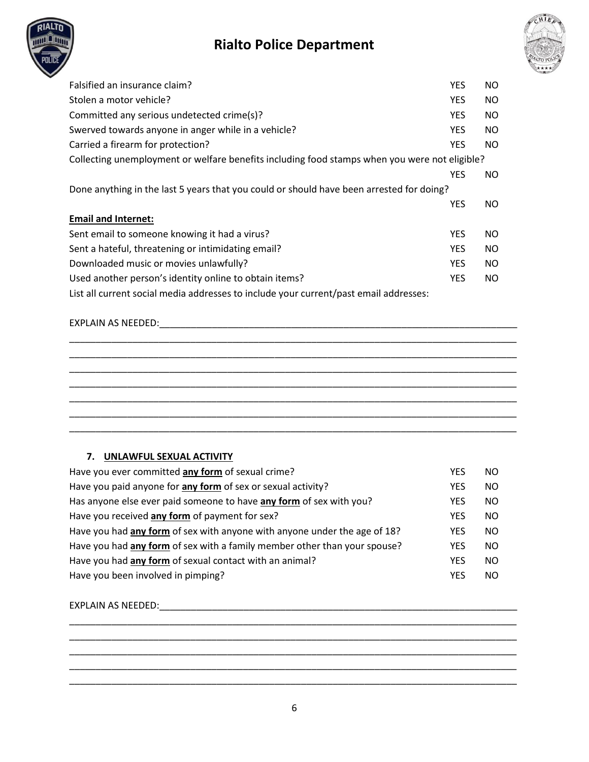



| Falsified an insurance claim?                                                                 | <b>YES</b> | NO. |
|-----------------------------------------------------------------------------------------------|------------|-----|
| Stolen a motor vehicle?                                                                       | <b>YES</b> | NO. |
| Committed any serious undetected crime(s)?                                                    | <b>YES</b> | NO. |
| Swerved towards anyone in anger while in a vehicle?                                           | <b>YES</b> | NO. |
| Carried a firearm for protection?                                                             | <b>YES</b> | NO. |
| Collecting unemployment or welfare benefits including food stamps when you were not eligible? |            |     |
|                                                                                               | <b>YES</b> | NO. |
| Done anything in the last 5 years that you could or should have been arrested for doing?      |            |     |
|                                                                                               | <b>YES</b> | NO. |
| <b>Email and Internet:</b>                                                                    |            |     |
| Sent email to someone knowing it had a virus?                                                 | <b>YES</b> | NO. |
| Sent a hateful, threatening or intimidating email?                                            | <b>YES</b> | NO. |
| Downloaded music or movies unlawfully?                                                        | <b>YES</b> | NO. |
| Used another person's identity online to obtain items?                                        | <b>YES</b> | NO. |
| List all current social media addresses to include your current/past email addresses:         |            |     |

### EXPLAIN AS NEEDED:\_\_\_\_\_\_\_\_\_\_\_\_\_\_\_\_\_\_\_\_\_\_\_\_\_\_\_\_\_\_\_\_\_\_\_\_\_\_\_\_\_\_\_\_\_\_\_\_\_\_\_\_\_\_\_\_\_\_\_\_\_\_\_\_\_\_\_\_

## **7. UNLAWFUL SEXUAL ACTIVITY**

| Have you ever committed any form of sexual crime?                         | YES        | NO.       |
|---------------------------------------------------------------------------|------------|-----------|
| Have you paid anyone for any form of sex or sexual activity?              | <b>YES</b> | <b>NO</b> |
| Has anyone else ever paid someone to have any form of sex with you?       | <b>YES</b> | <b>NO</b> |
| Have you received any form of payment for sex?                            | <b>YES</b> | <b>NO</b> |
| Have you had any form of sex with anyone with anyone under the age of 18? | <b>YES</b> | <b>NO</b> |
| Have you had any form of sex with a family member other than your spouse? | <b>YES</b> | <b>NO</b> |
| Have you had any form of sexual contact with an animal?                   | <b>YES</b> | <b>NO</b> |
| Have you been involved in pimping?                                        | <b>YFS</b> | <b>NO</b> |

EXPLAIN AS NEEDED:\_\_\_\_\_\_\_\_\_\_\_\_\_\_\_\_\_\_\_\_\_\_\_\_\_\_\_\_\_\_\_\_\_\_\_\_\_\_\_\_\_\_\_\_\_\_\_\_\_\_\_\_\_\_\_\_\_\_\_\_\_\_\_\_\_\_\_\_

\_\_\_\_\_\_\_\_\_\_\_\_\_\_\_\_\_\_\_\_\_\_\_\_\_\_\_\_\_\_\_\_\_\_\_\_\_\_\_\_\_\_\_\_\_\_\_\_\_\_\_\_\_\_\_\_\_\_\_\_\_\_\_\_\_\_\_\_\_\_\_\_\_\_\_\_\_\_\_\_\_\_\_\_\_ \_\_\_\_\_\_\_\_\_\_\_\_\_\_\_\_\_\_\_\_\_\_\_\_\_\_\_\_\_\_\_\_\_\_\_\_\_\_\_\_\_\_\_\_\_\_\_\_\_\_\_\_\_\_\_\_\_\_\_\_\_\_\_\_\_\_\_\_\_\_\_\_\_\_\_\_\_\_\_\_\_\_\_\_\_ \_\_\_\_\_\_\_\_\_\_\_\_\_\_\_\_\_\_\_\_\_\_\_\_\_\_\_\_\_\_\_\_\_\_\_\_\_\_\_\_\_\_\_\_\_\_\_\_\_\_\_\_\_\_\_\_\_\_\_\_\_\_\_\_\_\_\_\_\_\_\_\_\_\_\_\_\_\_\_\_\_\_\_\_\_ \_\_\_\_\_\_\_\_\_\_\_\_\_\_\_\_\_\_\_\_\_\_\_\_\_\_\_\_\_\_\_\_\_\_\_\_\_\_\_\_\_\_\_\_\_\_\_\_\_\_\_\_\_\_\_\_\_\_\_\_\_\_\_\_\_\_\_\_\_\_\_\_\_\_\_\_\_\_\_\_\_\_\_\_\_ \_\_\_\_\_\_\_\_\_\_\_\_\_\_\_\_\_\_\_\_\_\_\_\_\_\_\_\_\_\_\_\_\_\_\_\_\_\_\_\_\_\_\_\_\_\_\_\_\_\_\_\_\_\_\_\_\_\_\_\_\_\_\_\_\_\_\_\_\_\_\_\_\_\_\_\_\_\_\_\_\_\_\_\_\_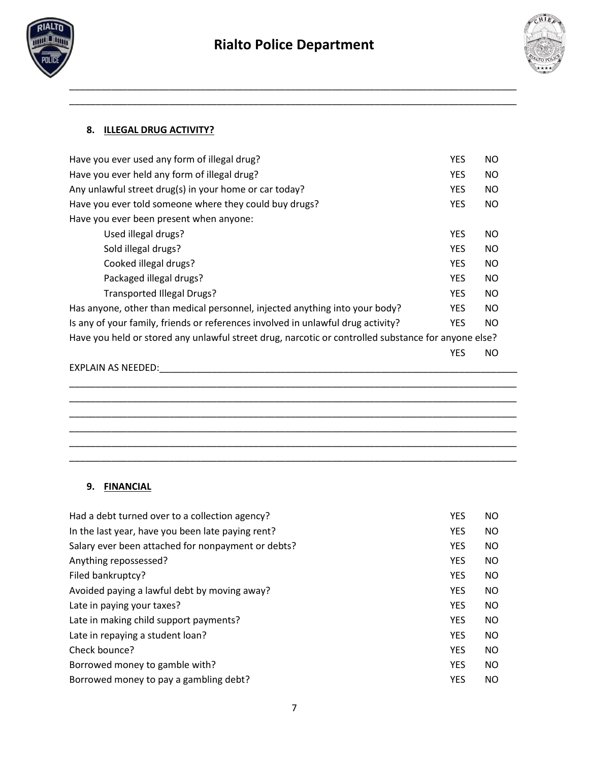

\_\_\_\_\_\_\_\_\_\_\_\_\_\_\_\_\_\_\_\_\_\_\_\_\_\_\_\_\_\_\_\_\_\_\_\_\_\_\_\_\_\_\_\_\_\_\_\_\_\_\_\_\_\_\_\_\_\_\_\_\_\_\_\_\_\_\_\_\_\_\_\_\_\_\_\_\_\_\_\_\_\_\_\_\_ \_\_\_\_\_\_\_\_\_\_\_\_\_\_\_\_\_\_\_\_\_\_\_\_\_\_\_\_\_\_\_\_\_\_\_\_\_\_\_\_\_\_\_\_\_\_\_\_\_\_\_\_\_\_\_\_\_\_\_\_\_\_\_\_\_\_\_\_\_\_\_\_\_\_\_\_\_\_\_\_\_\_\_\_\_



## **8. ILLEGAL DRUG ACTIVITY?**

| Have you ever used any form of illegal drug?                                                        | <b>YES</b> | NO.       |  |
|-----------------------------------------------------------------------------------------------------|------------|-----------|--|
| Have you ever held any form of illegal drug?                                                        | <b>YES</b> | NO.       |  |
| Any unlawful street drug(s) in your home or car today?                                              | <b>YES</b> | NO.       |  |
| Have you ever told someone where they could buy drugs?                                              | <b>YES</b> | <b>NO</b> |  |
| Have you ever been present when anyone:                                                             |            |           |  |
| Used illegal drugs?                                                                                 | <b>YES</b> | NO.       |  |
| Sold illegal drugs?                                                                                 | <b>YES</b> | NO.       |  |
| Cooked illegal drugs?                                                                               | <b>YES</b> | NO.       |  |
| Packaged illegal drugs?                                                                             | <b>YES</b> | NO.       |  |
| <b>Transported Illegal Drugs?</b>                                                                   | <b>YES</b> | <b>NO</b> |  |
| Has anyone, other than medical personnel, injected anything into your body?                         | <b>YES</b> | NO.       |  |
| Is any of your family, friends or references involved in unlawful drug activity?                    | <b>YES</b> | <b>NO</b> |  |
| Have you held or stored any unlawful street drug, narcotic or controlled substance for anyone else? |            |           |  |
|                                                                                                     | <b>YES</b> | NO.       |  |
| EXPLAIN AS NEEDED:                                                                                  |            |           |  |
|                                                                                                     |            |           |  |
|                                                                                                     |            |           |  |

\_\_\_\_\_\_\_\_\_\_\_\_\_\_\_\_\_\_\_\_\_\_\_\_\_\_\_\_\_\_\_\_\_\_\_\_\_\_\_\_\_\_\_\_\_\_\_\_\_\_\_\_\_\_\_\_\_\_\_\_\_\_\_\_\_\_\_\_\_\_\_\_\_\_\_\_\_\_\_\_\_\_\_\_\_ \_\_\_\_\_\_\_\_\_\_\_\_\_\_\_\_\_\_\_\_\_\_\_\_\_\_\_\_\_\_\_\_\_\_\_\_\_\_\_\_\_\_\_\_\_\_\_\_\_\_\_\_\_\_\_\_\_\_\_\_\_\_\_\_\_\_\_\_\_\_\_\_\_\_\_\_\_\_\_\_\_\_\_\_\_ \_\_\_\_\_\_\_\_\_\_\_\_\_\_\_\_\_\_\_\_\_\_\_\_\_\_\_\_\_\_\_\_\_\_\_\_\_\_\_\_\_\_\_\_\_\_\_\_\_\_\_\_\_\_\_\_\_\_\_\_\_\_\_\_\_\_\_\_\_\_\_\_\_\_\_\_\_\_\_\_\_\_\_\_\_ \_\_\_\_\_\_\_\_\_\_\_\_\_\_\_\_\_\_\_\_\_\_\_\_\_\_\_\_\_\_\_\_\_\_\_\_\_\_\_\_\_\_\_\_\_\_\_\_\_\_\_\_\_\_\_\_\_\_\_\_\_\_\_\_\_\_\_\_\_\_\_\_\_\_\_\_\_\_\_\_\_\_\_\_\_

### **9. FINANCIAL**

| Had a debt turned over to a collection agency?     | <b>YES</b> | NO.       |
|----------------------------------------------------|------------|-----------|
| In the last year, have you been late paying rent?  | <b>YES</b> | NO.       |
| Salary ever been attached for nonpayment or debts? | <b>YES</b> | NO.       |
| Anything repossessed?                              | <b>YES</b> | NO.       |
| Filed bankruptcy?                                  | <b>YES</b> | NO.       |
| Avoided paying a lawful debt by moving away?       | <b>YES</b> | NO.       |
| Late in paying your taxes?                         | <b>YES</b> | NO.       |
| Late in making child support payments?             | <b>YES</b> | NO.       |
| Late in repaying a student loan?                   | <b>YES</b> | <b>NO</b> |
| Check bounce?                                      | <b>YES</b> | NO.       |
| Borrowed money to gamble with?                     | <b>YES</b> | NO.       |
| Borrowed money to pay a gambling debt?             | <b>YES</b> | NO.       |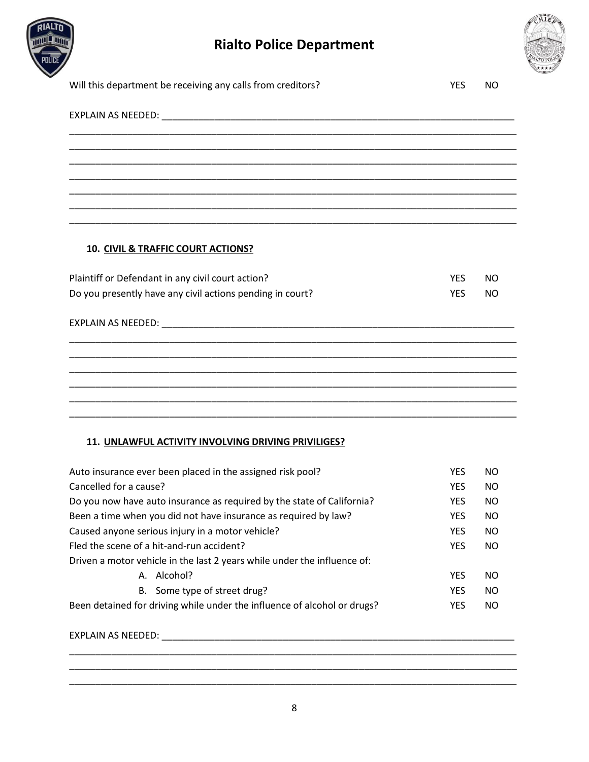



| Will this department be receiving any calls from creditors? | <b>YES</b> | NO. |
|-------------------------------------------------------------|------------|-----|
|                                                             |            |     |
|                                                             |            |     |
|                                                             |            |     |
|                                                             |            |     |
|                                                             |            |     |
|                                                             |            |     |
| 10. CIVIL & TRAFFIC COURT ACTIONS?                          |            |     |
| Plaintiff or Defendant in any civil court action?           | <b>YFS</b> | NO. |
| Do you presently have any civil actions pending in court?   | <b>YES</b> | NO. |
|                                                             |            |     |
|                                                             |            |     |
|                                                             |            |     |
|                                                             |            |     |

### **11. UNLAWFUL ACTIVITY INVOLVING DRIVING PRIVILIGES?**

| Auto insurance ever been placed in the assigned risk pool?               | <b>YES</b> | <b>NO</b> |
|--------------------------------------------------------------------------|------------|-----------|
| Cancelled for a cause?                                                   | <b>YES</b> | NO.       |
| Do you now have auto insurance as required by the state of California?   | <b>YES</b> | NO.       |
| Been a time when you did not have insurance as required by law?          | <b>YES</b> | NO.       |
| Caused anyone serious injury in a motor vehicle?                         | <b>YES</b> | NO.       |
| Fled the scene of a hit-and-run accident?                                | <b>YES</b> | NO.       |
| Driven a motor vehicle in the last 2 years while under the influence of: |            |           |
| A. Alcohol?                                                              | <b>YES</b> | <b>NO</b> |
| Some type of street drug?<br>B.                                          | <b>YES</b> | NO.       |
| Been detained for driving while under the influence of alcohol or drugs? | <b>YES</b> | NO.       |

\_\_\_\_\_\_\_\_\_\_\_\_\_\_\_\_\_\_\_\_\_\_\_\_\_\_\_\_\_\_\_\_\_\_\_\_\_\_\_\_\_\_\_\_\_\_\_\_\_\_\_\_\_\_\_\_\_\_\_\_\_\_\_\_\_\_\_\_\_\_\_\_\_\_\_\_\_\_\_\_\_\_\_\_\_ \_\_\_\_\_\_\_\_\_\_\_\_\_\_\_\_\_\_\_\_\_\_\_\_\_\_\_\_\_\_\_\_\_\_\_\_\_\_\_\_\_\_\_\_\_\_\_\_\_\_\_\_\_\_\_\_\_\_\_\_\_\_\_\_\_\_\_\_\_\_\_\_\_\_\_\_\_\_\_\_\_\_\_\_\_

EXPLAIN AS NEEDED: \_\_\_\_\_\_\_\_\_\_\_\_\_\_\_\_\_\_\_\_\_\_\_\_\_\_\_\_\_\_\_\_\_\_\_\_\_\_\_\_\_\_\_\_\_\_\_\_\_\_\_\_\_\_\_\_\_\_\_\_\_\_\_\_\_\_\_

\_\_\_\_\_\_\_\_\_\_\_\_\_\_\_\_\_\_\_\_\_\_\_\_\_\_\_\_\_\_\_\_\_\_\_\_\_\_\_\_\_\_\_\_\_\_\_\_\_\_\_\_\_\_\_\_\_\_\_\_\_\_\_\_\_\_\_\_\_\_\_\_\_\_\_\_\_\_\_\_\_\_\_\_\_ \_\_\_\_\_\_\_\_\_\_\_\_\_\_\_\_\_\_\_\_\_\_\_\_\_\_\_\_\_\_\_\_\_\_\_\_\_\_\_\_\_\_\_\_\_\_\_\_\_\_\_\_\_\_\_\_\_\_\_\_\_\_\_\_\_\_\_\_\_\_\_\_\_\_\_\_\_\_\_\_\_\_\_\_\_ \_\_\_\_\_\_\_\_\_\_\_\_\_\_\_\_\_\_\_\_\_\_\_\_\_\_\_\_\_\_\_\_\_\_\_\_\_\_\_\_\_\_\_\_\_\_\_\_\_\_\_\_\_\_\_\_\_\_\_\_\_\_\_\_\_\_\_\_\_\_\_\_\_\_\_\_\_\_\_\_\_\_\_\_\_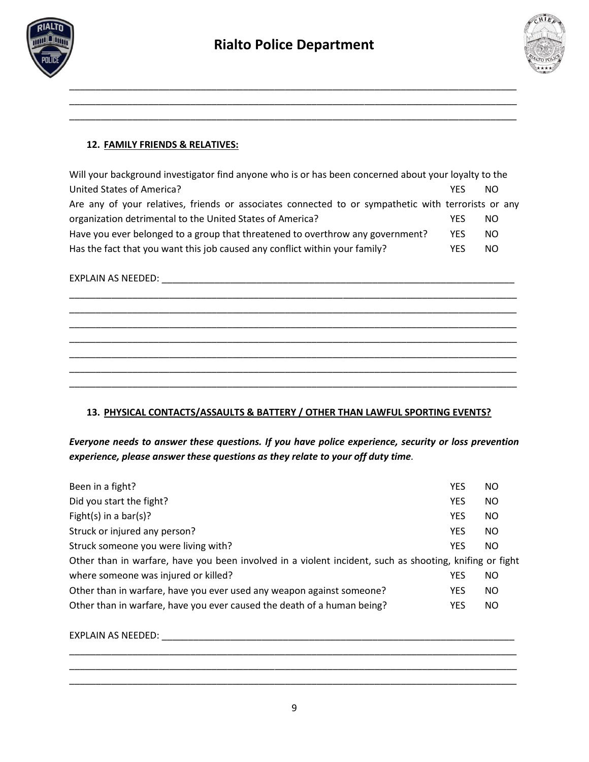

\_\_\_\_\_\_\_\_\_\_\_\_\_\_\_\_\_\_\_\_\_\_\_\_\_\_\_\_\_\_\_\_\_\_\_\_\_\_\_\_\_\_\_\_\_\_\_\_\_\_\_\_\_\_\_\_\_\_\_\_\_\_\_\_\_\_\_\_\_\_\_\_\_\_\_\_\_\_\_\_\_\_\_\_\_ \_\_\_\_\_\_\_\_\_\_\_\_\_\_\_\_\_\_\_\_\_\_\_\_\_\_\_\_\_\_\_\_\_\_\_\_\_\_\_\_\_\_\_\_\_\_\_\_\_\_\_\_\_\_\_\_\_\_\_\_\_\_\_\_\_\_\_\_\_\_\_\_\_\_\_\_\_\_\_\_\_\_\_\_\_



### **12. FAMILY FRIENDS & RELATIVES:**

| Will your background investigator find anyone who is or has been concerned about your loyalty to the |            |     |
|------------------------------------------------------------------------------------------------------|------------|-----|
| United States of America?                                                                            | YFS        | NO. |
| Are any of your relatives, friends or associates connected to or sympathetic with terrorists or any  |            |     |
| organization detrimental to the United States of America?                                            | YFS        | NO. |
| Have you ever belonged to a group that threatened to overthrow any government?                       | <b>YFS</b> | NO. |
| Has the fact that you want this job caused any conflict within your family?                          | YFS        | NO. |

\_\_\_\_\_\_\_\_\_\_\_\_\_\_\_\_\_\_\_\_\_\_\_\_\_\_\_\_\_\_\_\_\_\_\_\_\_\_\_\_\_\_\_\_\_\_\_\_\_\_\_\_\_\_\_\_\_\_\_\_\_\_\_\_\_\_\_\_\_\_\_\_\_\_\_\_\_\_\_\_\_\_\_\_\_ \_\_\_\_\_\_\_\_\_\_\_\_\_\_\_\_\_\_\_\_\_\_\_\_\_\_\_\_\_\_\_\_\_\_\_\_\_\_\_\_\_\_\_\_\_\_\_\_\_\_\_\_\_\_\_\_\_\_\_\_\_\_\_\_\_\_\_\_\_\_\_\_\_\_\_\_\_\_\_\_\_\_\_\_\_ \_\_\_\_\_\_\_\_\_\_\_\_\_\_\_\_\_\_\_\_\_\_\_\_\_\_\_\_\_\_\_\_\_\_\_\_\_\_\_\_\_\_\_\_\_\_\_\_\_\_\_\_\_\_\_\_\_\_\_\_\_\_\_\_\_\_\_\_\_\_\_\_\_\_\_\_\_\_\_\_\_\_\_\_\_ \_\_\_\_\_\_\_\_\_\_\_\_\_\_\_\_\_\_\_\_\_\_\_\_\_\_\_\_\_\_\_\_\_\_\_\_\_\_\_\_\_\_\_\_\_\_\_\_\_\_\_\_\_\_\_\_\_\_\_\_\_\_\_\_\_\_\_\_\_\_\_\_\_\_\_\_\_\_\_\_\_\_\_\_\_ \_\_\_\_\_\_\_\_\_\_\_\_\_\_\_\_\_\_\_\_\_\_\_\_\_\_\_\_\_\_\_\_\_\_\_\_\_\_\_\_\_\_\_\_\_\_\_\_\_\_\_\_\_\_\_\_\_\_\_\_\_\_\_\_\_\_\_\_\_\_\_\_\_\_\_\_\_\_\_\_\_\_\_\_\_ \_\_\_\_\_\_\_\_\_\_\_\_\_\_\_\_\_\_\_\_\_\_\_\_\_\_\_\_\_\_\_\_\_\_\_\_\_\_\_\_\_\_\_\_\_\_\_\_\_\_\_\_\_\_\_\_\_\_\_\_\_\_\_\_\_\_\_\_\_\_\_\_\_\_\_\_\_\_\_\_\_\_\_\_\_ \_\_\_\_\_\_\_\_\_\_\_\_\_\_\_\_\_\_\_\_\_\_\_\_\_\_\_\_\_\_\_\_\_\_\_\_\_\_\_\_\_\_\_\_\_\_\_\_\_\_\_\_\_\_\_\_\_\_\_\_\_\_\_\_\_\_\_\_\_\_\_\_\_\_\_\_\_\_\_\_\_\_\_\_\_

## EXPLAIN AS NEEDED: \_\_\_\_\_\_\_\_\_\_\_\_\_\_\_\_\_\_\_\_\_\_\_\_\_\_\_\_\_\_\_\_\_\_\_\_\_\_\_\_\_\_\_\_\_\_\_\_\_\_\_\_\_\_\_\_\_\_\_\_\_\_\_\_\_\_\_

### **13. PHYSICAL CONTACTS/ASSAULTS & BATTERY / OTHER THAN LAWFUL SPORTING EVENTS?**

*Everyone needs to answer these questions. If you have police experience, security or loss prevention experience, please answer these questions as they relate to your off duty time.*

| Been in a fight?                                                                                        | <b>YES</b> | NO.       |
|---------------------------------------------------------------------------------------------------------|------------|-----------|
| Did you start the fight?                                                                                | <b>YES</b> | NO.       |
| Fight(s) in a bar(s)?                                                                                   | <b>YES</b> | <b>NO</b> |
| Struck or injured any person?                                                                           | <b>YES</b> | NO.       |
| Struck someone you were living with?                                                                    | <b>YES</b> | NO.       |
| Other than in warfare, have you been involved in a violent incident, such as shooting, knifing or fight |            |           |
| where someone was injured or killed?                                                                    | <b>YES</b> | NO.       |
| Other than in warfare, have you ever used any weapon against someone?                                   | <b>YES</b> | NO.       |
| Other than in warfare, have you ever caused the death of a human being?                                 | <b>YES</b> | NO.       |
|                                                                                                         |            |           |

EXPLAIN AS NEEDED: \_\_\_\_\_\_\_\_\_\_\_\_\_\_\_\_\_\_\_\_\_\_\_\_\_\_\_\_\_\_\_\_\_\_\_\_\_\_\_\_\_\_\_\_\_\_\_\_\_\_\_\_\_\_\_\_\_\_\_\_\_\_\_\_\_\_\_

\_\_\_\_\_\_\_\_\_\_\_\_\_\_\_\_\_\_\_\_\_\_\_\_\_\_\_\_\_\_\_\_\_\_\_\_\_\_\_\_\_\_\_\_\_\_\_\_\_\_\_\_\_\_\_\_\_\_\_\_\_\_\_\_\_\_\_\_\_\_\_\_\_\_\_\_\_\_\_\_\_\_\_\_\_ \_\_\_\_\_\_\_\_\_\_\_\_\_\_\_\_\_\_\_\_\_\_\_\_\_\_\_\_\_\_\_\_\_\_\_\_\_\_\_\_\_\_\_\_\_\_\_\_\_\_\_\_\_\_\_\_\_\_\_\_\_\_\_\_\_\_\_\_\_\_\_\_\_\_\_\_\_\_\_\_\_\_\_\_\_ \_\_\_\_\_\_\_\_\_\_\_\_\_\_\_\_\_\_\_\_\_\_\_\_\_\_\_\_\_\_\_\_\_\_\_\_\_\_\_\_\_\_\_\_\_\_\_\_\_\_\_\_\_\_\_\_\_\_\_\_\_\_\_\_\_\_\_\_\_\_\_\_\_\_\_\_\_\_\_\_\_\_\_\_\_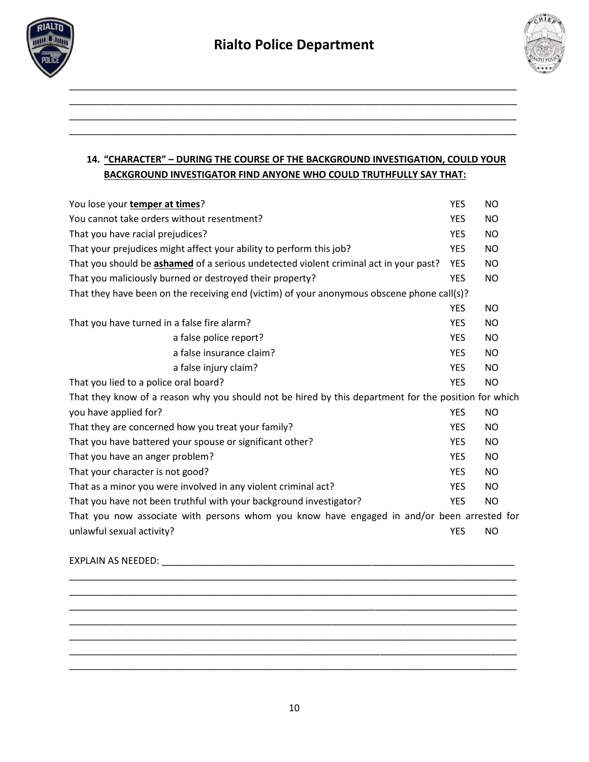

\_\_\_\_\_\_\_\_\_\_\_\_\_\_\_\_\_\_\_\_\_\_\_\_\_\_\_\_\_\_\_\_\_\_\_\_\_\_\_\_\_\_\_\_\_\_\_\_\_\_\_\_\_\_\_\_\_\_\_\_\_\_\_\_\_\_\_\_\_\_\_\_\_\_\_\_\_\_\_\_\_\_\_\_\_ \_\_\_\_\_\_\_\_\_\_\_\_\_\_\_\_\_\_\_\_\_\_\_\_\_\_\_\_\_\_\_\_\_\_\_\_\_\_\_\_\_\_\_\_\_\_\_\_\_\_\_\_\_\_\_\_\_\_\_\_\_\_\_\_\_\_\_\_\_\_\_\_\_\_\_\_\_\_\_\_\_\_\_\_\_ \_\_\_\_\_\_\_\_\_\_\_\_\_\_\_\_\_\_\_\_\_\_\_\_\_\_\_\_\_\_\_\_\_\_\_\_\_\_\_\_\_\_\_\_\_\_\_\_\_\_\_\_\_\_\_\_\_\_\_\_\_\_\_\_\_\_\_\_\_\_\_\_\_\_\_\_\_\_\_\_\_\_\_\_\_



# **14. "CHARACTER" – DURING THE COURSE OF THE BACKGROUND INVESTIGATION, COULD YOUR BACKGROUND INVESTIGATOR FIND ANYONE WHO COULD TRUTHFULLY SAY THAT:**

| You lose your temper at times?                                                                       | <b>YES</b> | <b>NO</b> |  |
|------------------------------------------------------------------------------------------------------|------------|-----------|--|
| You cannot take orders without resentment?                                                           | <b>YES</b> | <b>NO</b> |  |
| That you have racial prejudices?                                                                     | <b>YES</b> | <b>NO</b> |  |
| That your prejudices might affect your ability to perform this job?                                  | <b>YES</b> | <b>NO</b> |  |
| That you should be ashamed of a serious undetected violent criminal act in your past?                | <b>YES</b> | <b>NO</b> |  |
| That you maliciously burned or destroyed their property?                                             | <b>YES</b> | <b>NO</b> |  |
| That they have been on the receiving end (victim) of your anonymous obscene phone call(s)?           |            |           |  |
|                                                                                                      | <b>YES</b> | <b>NO</b> |  |
| That you have turned in a false fire alarm?                                                          | <b>YES</b> | <b>NO</b> |  |
| a false police report?                                                                               | <b>YES</b> | <b>NO</b> |  |
| a false insurance claim?                                                                             | <b>YES</b> | <b>NO</b> |  |
| a false injury claim?                                                                                | <b>YES</b> | <b>NO</b> |  |
| That you lied to a police oral board?                                                                | <b>YES</b> | <b>NO</b> |  |
| That they know of a reason why you should not be hired by this department for the position for which |            |           |  |
| you have applied for?                                                                                | <b>YES</b> | <b>NO</b> |  |
| That they are concerned how you treat your family?                                                   | <b>YES</b> | <b>NO</b> |  |
| That you have battered your spouse or significant other?                                             | <b>YES</b> | <b>NO</b> |  |
| That you have an anger problem?                                                                      | <b>YES</b> | <b>NO</b> |  |
| That your character is not good?                                                                     | <b>YES</b> | <b>NO</b> |  |
| That as a minor you were involved in any violent criminal act?                                       | <b>YES</b> | <b>NO</b> |  |
| That you have not been truthful with your background investigator?                                   | <b>YES</b> | <b>NO</b> |  |
| That you now associate with persons whom you know have engaged in and/or been arrested for           |            |           |  |
| unlawful sexual activity?                                                                            | <b>YES</b> | <b>NO</b> |  |
|                                                                                                      |            |           |  |

EXPLAIN AS NEEDED: \_\_\_\_\_\_\_\_\_\_\_\_\_\_\_\_\_\_\_\_\_\_\_\_\_\_\_\_\_\_\_\_\_\_\_\_\_\_\_\_\_\_\_\_\_\_\_\_\_\_\_\_\_\_\_\_\_\_\_\_\_\_\_\_\_\_\_

10

\_\_\_\_\_\_\_\_\_\_\_\_\_\_\_\_\_\_\_\_\_\_\_\_\_\_\_\_\_\_\_\_\_\_\_\_\_\_\_\_\_\_\_\_\_\_\_\_\_\_\_\_\_\_\_\_\_\_\_\_\_\_\_\_\_\_\_\_\_\_\_\_\_\_\_\_\_\_\_\_\_\_\_\_\_ \_\_\_\_\_\_\_\_\_\_\_\_\_\_\_\_\_\_\_\_\_\_\_\_\_\_\_\_\_\_\_\_\_\_\_\_\_\_\_\_\_\_\_\_\_\_\_\_\_\_\_\_\_\_\_\_\_\_\_\_\_\_\_\_\_\_\_\_\_\_\_\_\_\_\_\_\_\_\_\_\_\_\_\_\_ \_\_\_\_\_\_\_\_\_\_\_\_\_\_\_\_\_\_\_\_\_\_\_\_\_\_\_\_\_\_\_\_\_\_\_\_\_\_\_\_\_\_\_\_\_\_\_\_\_\_\_\_\_\_\_\_\_\_\_\_\_\_\_\_\_\_\_\_\_\_\_\_\_\_\_\_\_\_\_\_\_\_\_\_\_ \_\_\_\_\_\_\_\_\_\_\_\_\_\_\_\_\_\_\_\_\_\_\_\_\_\_\_\_\_\_\_\_\_\_\_\_\_\_\_\_\_\_\_\_\_\_\_\_\_\_\_\_\_\_\_\_\_\_\_\_\_\_\_\_\_\_\_\_\_\_\_\_\_\_\_\_\_\_\_\_\_\_\_\_\_ \_\_\_\_\_\_\_\_\_\_\_\_\_\_\_\_\_\_\_\_\_\_\_\_\_\_\_\_\_\_\_\_\_\_\_\_\_\_\_\_\_\_\_\_\_\_\_\_\_\_\_\_\_\_\_\_\_\_\_\_\_\_\_\_\_\_\_\_\_\_\_\_\_\_\_\_\_\_\_\_\_\_\_\_\_ \_\_\_\_\_\_\_\_\_\_\_\_\_\_\_\_\_\_\_\_\_\_\_\_\_\_\_\_\_\_\_\_\_\_\_\_\_\_\_\_\_\_\_\_\_\_\_\_\_\_\_\_\_\_\_\_\_\_\_\_\_\_\_\_\_\_\_\_\_\_\_\_\_\_\_\_\_\_\_\_\_\_\_\_\_ \_\_\_\_\_\_\_\_\_\_\_\_\_\_\_\_\_\_\_\_\_\_\_\_\_\_\_\_\_\_\_\_\_\_\_\_\_\_\_\_\_\_\_\_\_\_\_\_\_\_\_\_\_\_\_\_\_\_\_\_\_\_\_\_\_\_\_\_\_\_\_\_\_\_\_\_\_\_\_\_\_\_\_\_\_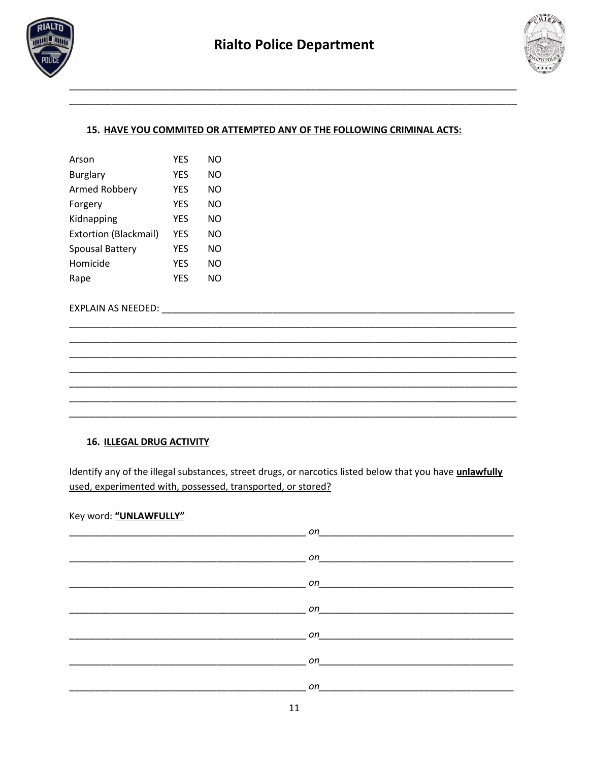



### 15. HAVE YOU COMMITED OR ATTEMPTED ANY OF THE FOLLOWING CRIMINAL ACTS:

| Arson                        | <b>YES</b> | NΟ  |
|------------------------------|------------|-----|
| <b>Burglary</b>              | <b>YES</b> | NO  |
| Armed Robbery                | YES        | NΟ  |
| Forgery                      | <b>YES</b> | NO. |
| Kidnapping                   | YES        | NΟ  |
| <b>Extortion (Blackmail)</b> | <b>YES</b> | NΟ  |
| <b>Spousal Battery</b>       | YES        | NΟ  |
| Homicide                     | <b>YES</b> | NO  |
| Rape                         | YES        | NΟ  |

EXPLAIN AS NEEDED: EXPLAIN AS NEEDED:

### **16. ILLEGAL DRUG ACTIVITY**

Identify any of the illegal substances, street drugs, or narcotics listed below that you have unlawfully used, experimented with, possessed, transported, or stored?

#### Key word: "UNLAWFULLY"

| $\Omega$ and $\Omega$ and $\Omega$ and $\Omega$ and $\Omega$ and $\Omega$ and $\Omega$ and $\Omega$ and $\Omega$ and $\Omega$ and $\Omega$ and $\Omega$ and $\Omega$ and $\Omega$ and $\Omega$ and $\Omega$ and $\Omega$ and $\Omega$ and $\Omega$ and $\Omega$ and $\Omega$ and $\Omega$ and $\Omega$ and $\Omega$ and $\Omega$ |
|----------------------------------------------------------------------------------------------------------------------------------------------------------------------------------------------------------------------------------------------------------------------------------------------------------------------------------|
|                                                                                                                                                                                                                                                                                                                                  |
| on and the contract of the contract of the contract of the contract of the contract of the contract of the contract of the contract of the contract of the contract of the contract of the contract of the contract of the con                                                                                                   |
| on and the contract of the contract of the contract of the contract of the contract of the contract of the contract of the contract of the contract of the contract of the contract of the contract of the contract of the con                                                                                                   |
|                                                                                                                                                                                                                                                                                                                                  |
| on                                                                                                                                                                                                                                                                                                                               |
|                                                                                                                                                                                                                                                                                                                                  |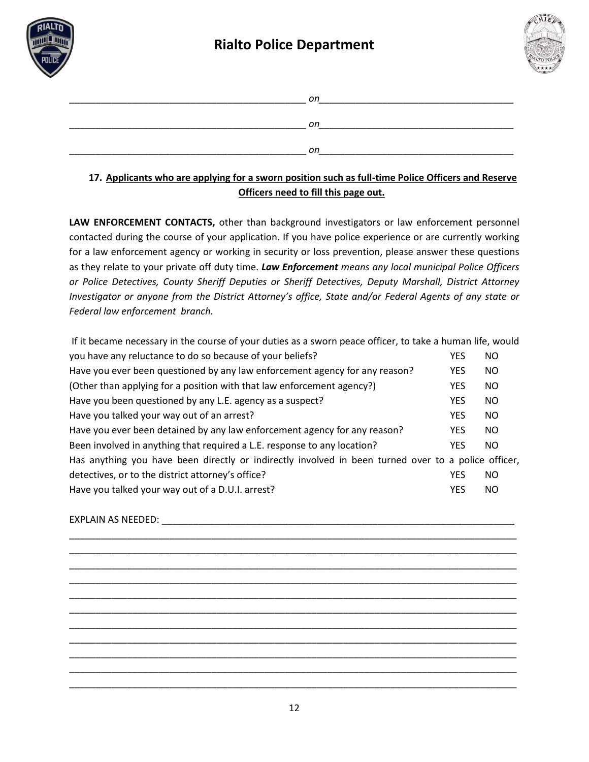



| on |
|----|
| оn |
| on |

# **17. Applicants who are applying for a sworn position such as full-time Police Officers and Reserve Officers need to fill this page out.**

LAW ENFORCEMENT CONTACTS, other than background investigators or law enforcement personnel contacted during the course of your application. If you have police experience or are currently working for a law enforcement agency or working in security or loss prevention, please answer these questions as they relate to your private off duty time. *Law Enforcement means any local municipal Police Officers or Police Detectives, County Sheriff Deputies or Sheriff Detectives, Deputy Marshall, District Attorney Investigator or anyone from the District Attorney's office, State and/or Federal Agents of any state or Federal law enforcement branch.* 

| If it became necessary in the course of your duties as a sworn peace officer, to take a human life, would |            |           |  |
|-----------------------------------------------------------------------------------------------------------|------------|-----------|--|
| you have any reluctance to do so because of your beliefs?                                                 | <b>YES</b> | NO        |  |
| Have you ever been questioned by any law enforcement agency for any reason?                               | <b>YES</b> | NO.       |  |
| (Other than applying for a position with that law enforcement agency?)                                    | <b>YES</b> | <b>NO</b> |  |
| Have you been questioned by any L.E. agency as a suspect?                                                 | <b>YES</b> | <b>NO</b> |  |
| Have you talked your way out of an arrest?                                                                | <b>YES</b> | <b>NO</b> |  |
| Have you ever been detained by any law enforcement agency for any reason?                                 | <b>YES</b> | NO.       |  |
| Been involved in anything that required a L.E. response to any location?                                  | <b>YES</b> | NO.       |  |
| Has anything you have been directly or indirectly involved in been turned over to a police officer,       |            |           |  |
| detectives, or to the district attorney's office?                                                         | <b>YES</b> | NO.       |  |
| Have you talked your way out of a D.U.I. arrest?                                                          | <b>YES</b> | NO.       |  |

### EXPLAIN AS NEEDED:  $\blacksquare$